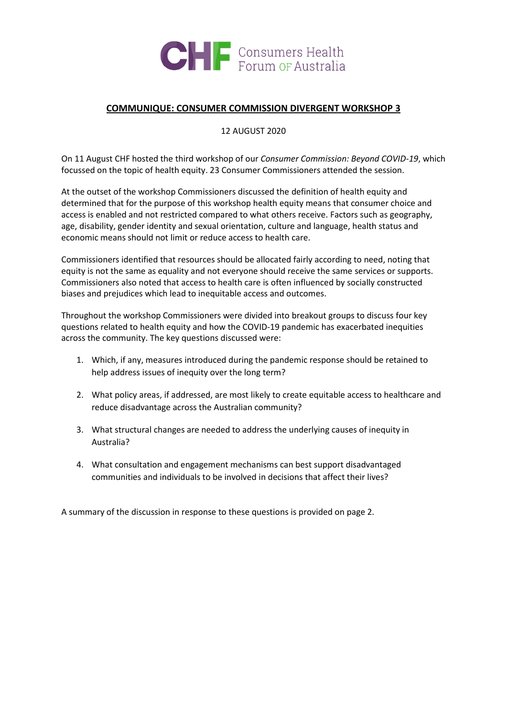

#### **COMMUNIQUE: CONSUMER COMMISSION DIVERGENT WORKSHOP 3**

12 AUGUST 2020

On 11 August CHF hosted the third workshop of our *Consumer Commission: Beyond COVID-19*, which focussed on the topic of health equity. 23 Consumer Commissioners attended the session.

At the outset of the workshop Commissioners discussed the definition of health equity and determined that for the purpose of this workshop health equity means that consumer choice and access is enabled and not restricted compared to what others receive. Factors such as geography, age, disability, gender identity and sexual orientation, culture and language, health status and economic means should not limit or reduce access to health care.

Commissioners identified that resources should be allocated fairly according to need, noting that equity is not the same as equality and not everyone should receive the same services or supports. Commissioners also noted that access to health care is often influenced by socially constructed biases and prejudices which lead to inequitable access and outcomes.

Throughout the workshop Commissioners were divided into breakout groups to discuss four key questions related to health equity and how the COVID-19 pandemic has exacerbated inequities across the community. The key questions discussed were:

- 1. Which, if any, measures introduced during the pandemic response should be retained to help address issues of inequity over the long term?
- 2. What policy areas, if addressed, are most likely to create equitable access to healthcare and reduce disadvantage across the Australian community?
- 3. What structural changes are needed to address the underlying causes of inequity in Australia?
- 4. What consultation and engagement mechanisms can best support disadvantaged communities and individuals to be involved in decisions that affect their lives?

A summary of the discussion in response to these questions is provided on page 2.